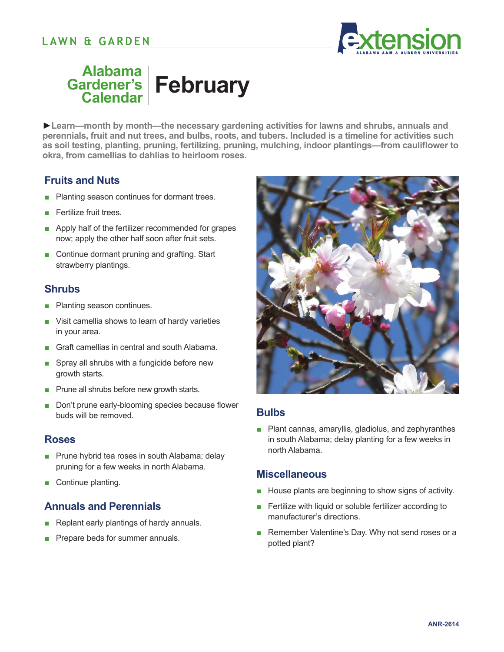# **LAWN & GARDEN**



#### **Alabama Gardener's Calendar February**

**►Learn—month by month—the necessary gardening activities for lawns and shrubs, annuals and perennials, fruit and nut trees, and bulbs, roots, and tubers. Included is a timeline for activities such as soil testing, planting, pruning, fertilizing, pruning, mulching, indoor plantings—from cauliflower to okra, from camellias to dahlias to heirloom roses.** 

## **Fruits and Nuts**

- Planting season continues for dormant trees.
- Fertilize fruit trees.
- Apply half of the fertilizer recommended for grapes now; apply the other half soon after fruit sets.
- Continue dormant pruning and grafting. Start strawberry plantings.

## **Shrubs**

- Planting season continues.
- Visit camellia shows to learn of hardy varieties in your area.
- Graft camellias in central and south Alabama.
- Spray all shrubs with a fungicide before new growth starts.
- Prune all shrubs before new growth starts.
- Don't prune early-blooming species because flower buds will be removed.

#### **Roses**

- Prune hybrid tea roses in south Alabama; delay pruning for a few weeks in north Alabama.
- Continue planting.

## **Annuals and Perennials**

- Replant early plantings of hardy annuals.
- Prepare beds for summer annuals.



## **Bulbs**

■ Plant cannas, amaryllis, gladiolus, and zephyranthes in south Alabama; delay planting for a few weeks in north Alabama.

#### **Miscellaneous**

- House plants are beginning to show signs of activity.
- Fertilize with liquid or soluble fertilizer according to manufacturer's directions.
- Remember Valentine's Day. Why not send roses or a potted plant?